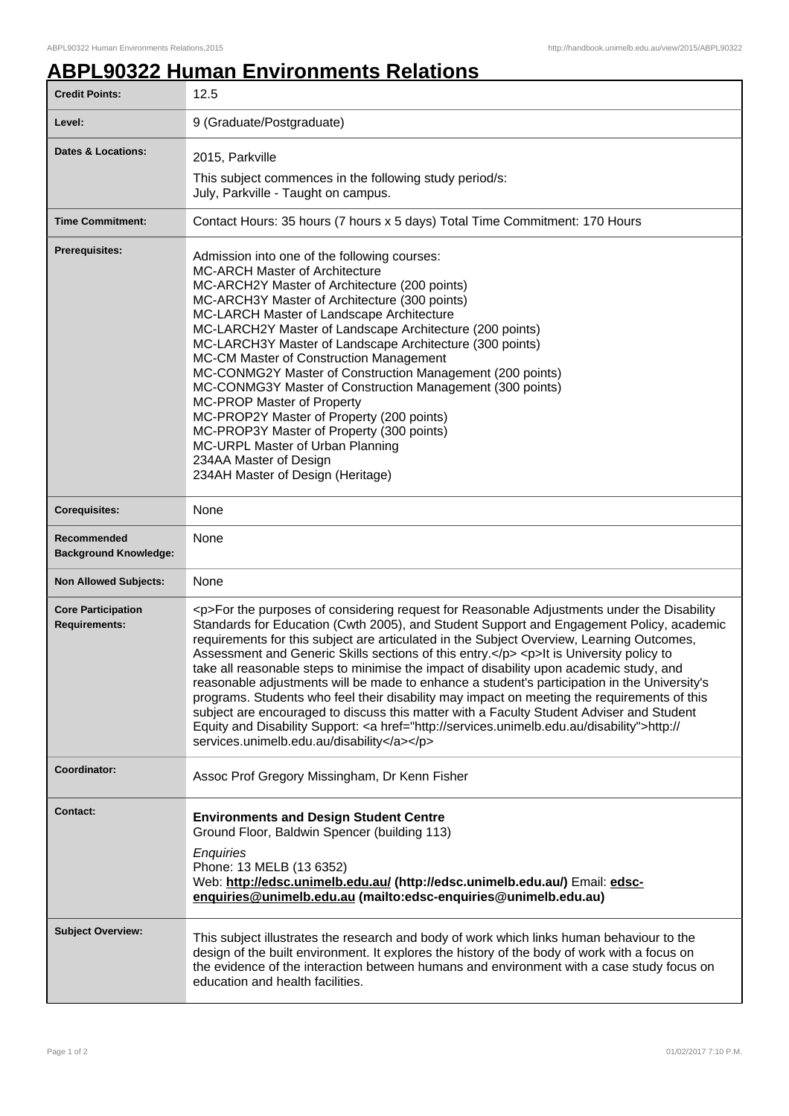## **ABPL90322 Human Environments Relations**

| <b>Credit Points:</b>                             | 12.5                                                                                                                                                                                                                                                                                                                                                                                                                                                                                                                                                                                                                                                                                                                                                                                                                                                                                                                         |
|---------------------------------------------------|------------------------------------------------------------------------------------------------------------------------------------------------------------------------------------------------------------------------------------------------------------------------------------------------------------------------------------------------------------------------------------------------------------------------------------------------------------------------------------------------------------------------------------------------------------------------------------------------------------------------------------------------------------------------------------------------------------------------------------------------------------------------------------------------------------------------------------------------------------------------------------------------------------------------------|
| Level:                                            | 9 (Graduate/Postgraduate)                                                                                                                                                                                                                                                                                                                                                                                                                                                                                                                                                                                                                                                                                                                                                                                                                                                                                                    |
| <b>Dates &amp; Locations:</b>                     | 2015, Parkville<br>This subject commences in the following study period/s:<br>July, Parkville - Taught on campus.                                                                                                                                                                                                                                                                                                                                                                                                                                                                                                                                                                                                                                                                                                                                                                                                            |
| <b>Time Commitment:</b>                           | Contact Hours: 35 hours (7 hours x 5 days) Total Time Commitment: 170 Hours                                                                                                                                                                                                                                                                                                                                                                                                                                                                                                                                                                                                                                                                                                                                                                                                                                                  |
| <b>Prerequisites:</b>                             | Admission into one of the following courses:<br><b>MC-ARCH Master of Architecture</b><br>MC-ARCH2Y Master of Architecture (200 points)<br>MC-ARCH3Y Master of Architecture (300 points)<br>MC-LARCH Master of Landscape Architecture<br>MC-LARCH2Y Master of Landscape Architecture (200 points)<br>MC-LARCH3Y Master of Landscape Architecture (300 points)<br>MC-CM Master of Construction Management<br>MC-CONMG2Y Master of Construction Management (200 points)<br>MC-CONMG3Y Master of Construction Management (300 points)<br>MC-PROP Master of Property<br>MC-PROP2Y Master of Property (200 points)<br>MC-PROP3Y Master of Property (300 points)<br>MC-URPL Master of Urban Planning<br>234AA Master of Design<br>234AH Master of Design (Heritage)                                                                                                                                                                 |
| <b>Corequisites:</b>                              | None                                                                                                                                                                                                                                                                                                                                                                                                                                                                                                                                                                                                                                                                                                                                                                                                                                                                                                                         |
| Recommended<br><b>Background Knowledge:</b>       | None                                                                                                                                                                                                                                                                                                                                                                                                                                                                                                                                                                                                                                                                                                                                                                                                                                                                                                                         |
| <b>Non Allowed Subjects:</b>                      | None                                                                                                                                                                                                                                                                                                                                                                                                                                                                                                                                                                                                                                                                                                                                                                                                                                                                                                                         |
| <b>Core Participation</b><br><b>Requirements:</b> | <p>For the purposes of considering request for Reasonable Adjustments under the Disability<br/>Standards for Education (Cwth 2005), and Student Support and Engagement Policy, academic<br/>requirements for this subject are articulated in the Subject Overview, Learning Outcomes,<br/>Assessment and Generic Skills sections of this entry.</p> <p>lt is University policy to<br/>take all reasonable steps to minimise the impact of disability upon academic study, and<br/>reasonable adjustments will be made to enhance a student's participation in the University's<br/>programs. Students who feel their disability may impact on meeting the requirements of this<br/>subject are encouraged to discuss this matter with a Faculty Student Adviser and Student<br/>Equity and Disability Support: &lt; a href="http://services.unimelb.edu.au/disability"&gt;http://<br/>services.unimelb.edu.au/disability</p> |
| Coordinator:                                      | Assoc Prof Gregory Missingham, Dr Kenn Fisher                                                                                                                                                                                                                                                                                                                                                                                                                                                                                                                                                                                                                                                                                                                                                                                                                                                                                |
| Contact:                                          | <b>Environments and Design Student Centre</b><br>Ground Floor, Baldwin Spencer (building 113)<br>Enquiries<br>Phone: 13 MELB (13 6352)<br>Web: http://edsc.unimelb.edu.au/ (http://edsc.unimelb.edu.au/) Email: edsc-<br>enquiries@unimelb.edu.au (mailto:edsc-enquiries@unimelb.edu.au)                                                                                                                                                                                                                                                                                                                                                                                                                                                                                                                                                                                                                                     |
| <b>Subject Overview:</b>                          | This subject illustrates the research and body of work which links human behaviour to the<br>design of the built environment. It explores the history of the body of work with a focus on<br>the evidence of the interaction between humans and environment with a case study focus on<br>education and health facilities.                                                                                                                                                                                                                                                                                                                                                                                                                                                                                                                                                                                                   |